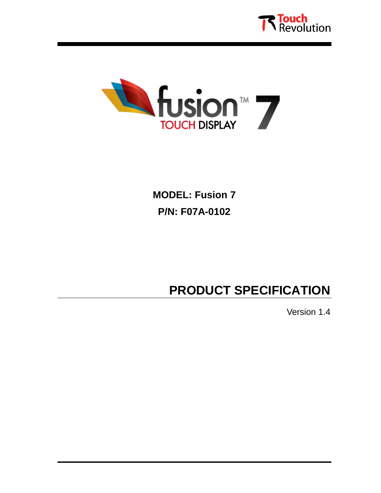



**MODEL: Fusion 7 P/N: F07A-0102**

# **PRODUCT SPECIFICATION**

Version 1.4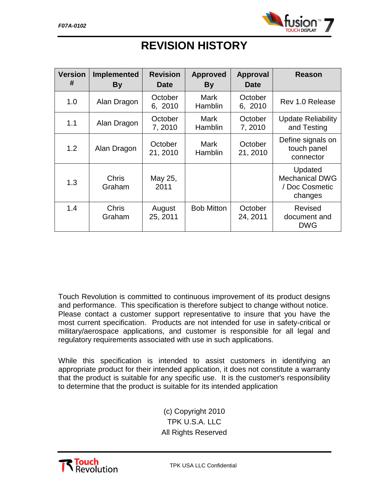

| <b>Version</b> | Implemented            | <b>Revision</b>     | <b>Approved</b>        | <b>Approval</b>     | <b>Reason</b>                                                 |
|----------------|------------------------|---------------------|------------------------|---------------------|---------------------------------------------------------------|
| #              | <b>By</b>              | <b>Date</b>         | By                     | <b>Date</b>         |                                                               |
| 1.0            | Alan Dragon            | October<br>6, 2010  | Mark<br>Hamblin        | October<br>6, 2010  | Rev 1.0 Release                                               |
| 1.1            | Alan Dragon            | October<br>7,2010   | Mark<br><b>Hamblin</b> | October<br>7,2010   | <b>Update Reliability</b><br>and Testing                      |
| 1.2            | Alan Dragon            | October<br>21, 2010 | Mark<br><b>Hamblin</b> | October<br>21, 2010 | Define signals on<br>touch panel<br>connector                 |
| 1.3            | <b>Chris</b><br>Graham | May 25,<br>2011     |                        |                     | Updated<br><b>Mechanical DWG</b><br>/ Doc Cosmetic<br>changes |
| 1.4            | Chris<br>Graham        | August<br>25, 2011  | <b>Bob Mitton</b>      | October<br>24, 2011 | <b>Revised</b><br>document and<br><b>DWG</b>                  |

# **REVISION HISTORY**

Touch Revolution is committed to continuous improvement of its product designs and performance. This specification is therefore subject to change without notice. Please contact a customer support representative to insure that you have the most current specification. Products are not intended for use in safety-critical or military/aerospace applications, and customer is responsible for all legal and regulatory requirements associated with use in such applications.

While this specification is intended to assist customers in identifying an appropriate product for their intended application, it does not constitute a warranty that the product is suitable for any specific use. It is the customer's responsibility to determine that the product is suitable for its intended application

> (c) Copyright 2010 TPK U.S.A. LLC All Rights Reserved



TPK USA LLC Confidential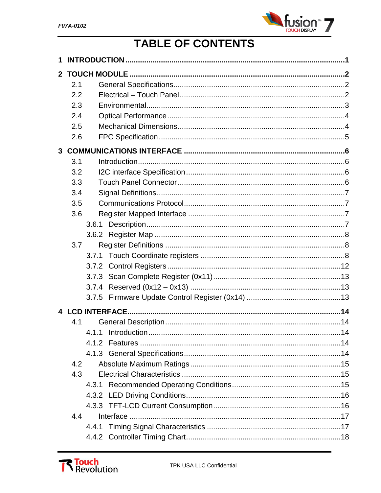

# TABLE OF CONTENTS

| 1 |     |  |  |
|---|-----|--|--|
|   |     |  |  |
|   | 2.1 |  |  |
|   | 2.2 |  |  |
|   | 2.3 |  |  |
|   | 2.4 |  |  |
|   | 2.5 |  |  |
|   | 2.6 |  |  |
|   |     |  |  |
|   | 3.1 |  |  |
|   | 3.2 |  |  |
|   | 3.3 |  |  |
|   | 3.4 |  |  |
|   | 3.5 |  |  |
|   | 3.6 |  |  |
|   |     |  |  |
|   |     |  |  |
|   | 3.7 |  |  |
|   |     |  |  |
|   |     |  |  |
|   |     |  |  |
|   |     |  |  |
|   |     |  |  |
|   |     |  |  |
|   | 4.1 |  |  |
|   |     |  |  |
|   |     |  |  |
|   |     |  |  |
|   | 4.2 |  |  |
|   | 4.3 |  |  |
|   |     |  |  |
|   |     |  |  |
|   |     |  |  |
|   | 4.4 |  |  |
|   |     |  |  |
|   |     |  |  |

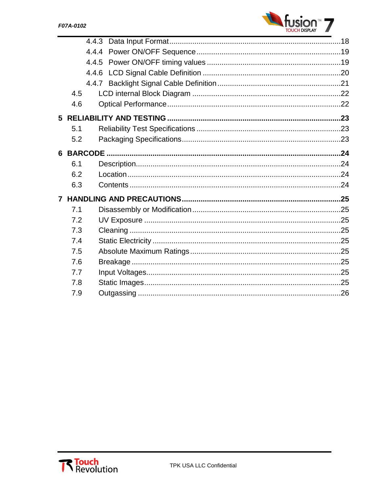

| 4.5 |  |
|-----|--|
| 4.6 |  |
|     |  |
| 5.1 |  |
| 5.2 |  |
|     |  |
| 6.1 |  |
| 6.2 |  |
| 6.3 |  |
|     |  |
| 7.1 |  |
| 7.2 |  |
| 7.3 |  |
| 7.4 |  |
| 7.5 |  |
| 7.6 |  |
| 7.7 |  |
| 7.8 |  |
| 7.9 |  |

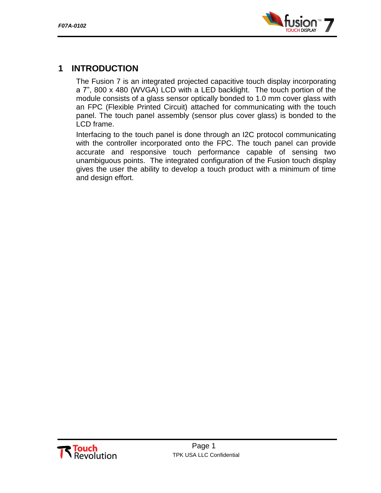

## <span id="page-4-0"></span>**1 INTRODUCTION**

The Fusion 7 is an integrated projected capacitive touch display incorporating a 7", 800 x 480 (WVGA) LCD with a LED backlight. The touch portion of the module consists of a glass sensor optically bonded to 1.0 mm cover glass with an FPC (Flexible Printed Circuit) attached for communicating with the touch panel. The touch panel assembly (sensor plus cover glass) is bonded to the LCD frame.

Interfacing to the touch panel is done through an I2C protocol communicating with the controller incorporated onto the FPC. The touch panel can provide accurate and responsive touch performance capable of sensing two unambiguous points. The integrated configuration of the Fusion touch display gives the user the ability to develop a touch product with a minimum of time and design effort.

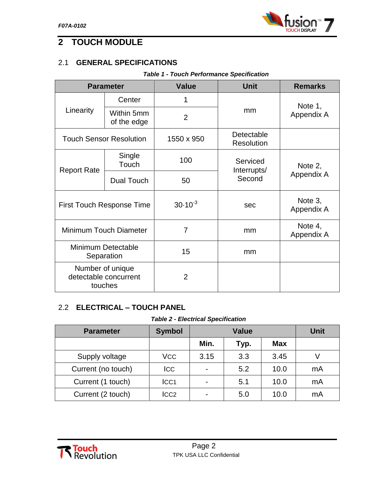

## <span id="page-5-0"></span>**2 TOUCH MODULE**

## <span id="page-5-1"></span>2.1 **GENERAL SPECIFICATIONS**

#### *Table 1 - Touch Performance Specification*

| <b>Parameter</b>                                     |                                | <b>Value</b>   | <b>Unit</b>                     | <b>Remarks</b>        |
|------------------------------------------------------|--------------------------------|----------------|---------------------------------|-----------------------|
|                                                      | Center                         | 1              |                                 | Note 1,<br>Appendix A |
| Linearity                                            | Within 5mm<br>of the edge      | $\overline{2}$ | mm                              |                       |
|                                                      | <b>Touch Sensor Resolution</b> | 1550 x 950     | Detectable<br><b>Resolution</b> |                       |
| <b>Report Rate</b>                                   | Single<br>Touch                | 100            | Serviced<br>Interrupts/         | Note 2,               |
|                                                      | Dual Touch                     | 50             | Second                          | Appendix A            |
| <b>First Touch Response Time</b>                     |                                | $30.10^{-3}$   | sec                             | Note 3,<br>Appendix A |
| Minimum Touch Diameter                               |                                | $\overline{7}$ | mm                              | Note 4,<br>Appendix A |
| <b>Minimum Detectable</b><br>Separation              |                                | 15             | mm                              |                       |
| Number of unique<br>detectable concurrent<br>touches |                                | $\overline{2}$ |                                 |                       |

## <span id="page-5-2"></span>2.2 **ELECTRICAL – TOUCH PANEL**

#### *Table 2 - Electrical Specification*

| <b>Parameter</b>   | <b>Symbol</b> | Value |      | Unit       |    |
|--------------------|---------------|-------|------|------------|----|
|                    |               | Min.  | Typ. | <b>Max</b> |    |
| Supply voltage     | VCC           | 3.15  | 3.3  | 3.45       |    |
| Current (no touch) | <b>ICC</b>    |       | 5.2  | 10.0       | mA |
| Current (1 touch)  | ICC1          |       | 5.1  | 10.0       | mA |
| Current (2 touch)  | ICC2          |       | 5.0  | 10.0       | mA |

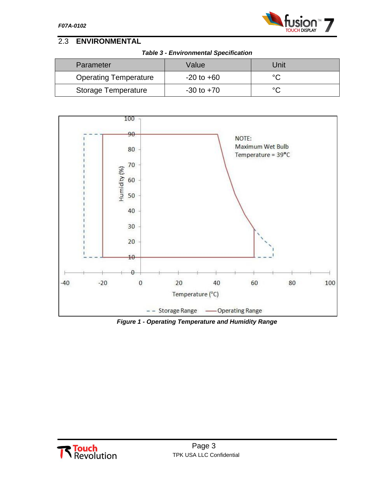

## <span id="page-6-0"></span>2.3 **ENVIRONMENTAL**

| <b>Table 3 - Environmental Specification</b> |  |
|----------------------------------------------|--|
|                                              |  |

| Parameter                    | Value          | Unit |
|------------------------------|----------------|------|
| <b>Operating Temperature</b> | $-20$ to $+60$ | ∘∩   |
| <b>Storage Temperature</b>   | $-30$ to $+70$ | ∘∩   |



*Figure 1 - Operating Temperature and Humidity Range*

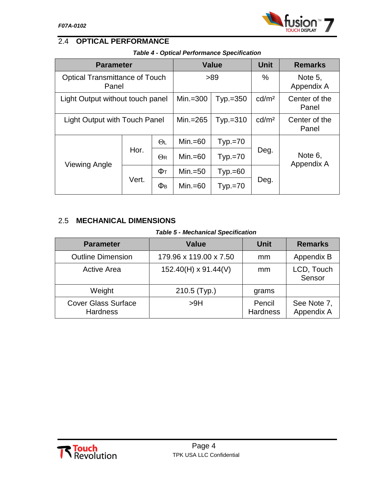

## <span id="page-7-0"></span>2.4 **OPTICAL PERFORMANCE**

| <b>Parameter</b>                               |       |                     |             | <b>Value</b> | <b>Unit</b>       | <b>Remarks</b>         |
|------------------------------------------------|-------|---------------------|-------------|--------------|-------------------|------------------------|
| <b>Optical Transmittance of Touch</b><br>Panel |       |                     |             | >89          | $\%$              | Note 5,<br>Appendix A  |
| Light Output without touch panel               |       |                     | Min. $=300$ | $Typ.=350$   | cd/m <sup>2</sup> | Center of the<br>Panel |
| <b>Light Output with Touch Panel</b>           |       |                     | Min.=265    | $Typ.=310$   | cd/m <sup>2</sup> | Center of the<br>Panel |
| <b>Viewing Angle</b>                           | Hor.  | $\Theta$ L          | $Min.=60$   | $Typ.=70$    | Deg.              |                        |
|                                                |       | $\Theta$ R          | $Min.=60$   | $Typ.=70$    |                   | Note 6,<br>Appendix A  |
|                                                | Фт    |                     | $Min.=50$   | $Type.=60$   |                   |                        |
|                                                | Vert. | $\Phi$ <sub>B</sub> | $Min.=60$   | $Typ.=70$    | Deg.              |                        |

## <span id="page-7-1"></span>2.5 **MECHANICAL DIMENSIONS**

#### *Table 5 - Mechanical Specification*

| <b>Parameter</b>                              | Value                       | <b>Unit</b>               | <b>Remarks</b>            |
|-----------------------------------------------|-----------------------------|---------------------------|---------------------------|
| <b>Outline Dimension</b>                      | 179.96 x 119.00 x 7.50      | mm                        | Appendix B                |
| <b>Active Area</b>                            | $152.40(H) \times 91.44(V)$ | mm                        | LCD, Touch<br>Sensor      |
| Weight                                        | 210.5 (Typ.)                | grams                     |                           |
| <b>Cover Glass Surface</b><br><b>Hardness</b> | >9H                         | Pencil<br><b>Hardness</b> | See Note 7,<br>Appendix A |

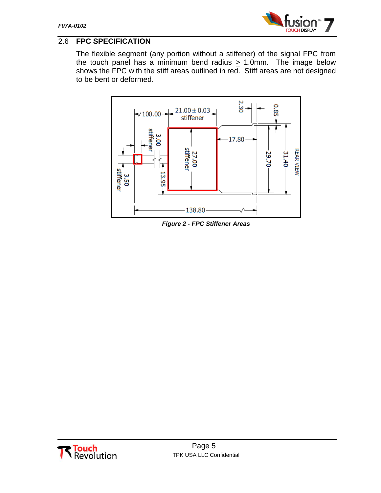

## <span id="page-8-0"></span>2.6 **FPC SPECIFICATION**

The flexible segment (any portion without a stiffener) of the signal FPC from the touch panel has a minimum bend radius  $\geq 1.0$ mm. The image below shows the FPC with the stiff areas outlined in red. Stiff areas are not designed to be bent or deformed.



*Figure 2 - FPC Stiffener Areas*

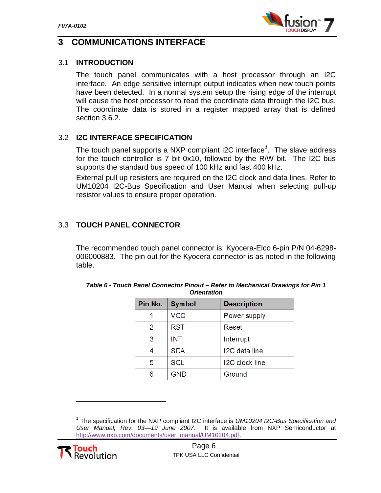

## <span id="page-9-0"></span>**3 COMMUNICATIONS INTERFACE**

#### <span id="page-9-1"></span>3.1 **INTRODUCTION**

The touch panel communicates with a host processor through an I2C interface. An edge sensitive interrupt output indicates when new touch points have been detected. In a normal system setup the rising edge of the interrupt will cause the host processor to read the coordinate data through the I2C bus. The coordinate data is stored in a register mapped array that is defined section [3.6.2.](#page-11-0)

#### <span id="page-9-2"></span>3.2 **I2C INTERFACE SPECIFICATION**

The touch panel supports a NXP compliant I2C interface*<sup>1</sup>* . The slave address for the touch controller is 7 bit 0x10, followed by the R/W bit. The I2C bus supports the standard bus speed of 100 kHz and fast 400 kHz.

External pull up resisters are required on the I2C clock and data lines. Refer to UM10204 I2C-Bus Specification and User Manual when selecting pull-up resistor values to ensure proper operation.

## <span id="page-9-3"></span>3.3 **TOUCH PANEL CONNECTOR**

The recommended touch panel connector is: Kyocera-Elco 6-pin P/N 04-6298- 006000883. The pin out for the Kyocera connector is as noted in the following table.

| Pin No. | <b>Symbol</b> | <b>Description</b> |
|---------|---------------|--------------------|
|         | <b>VCC</b>    | Power supply       |
| 2       | <b>RST</b>    | Reset              |
| 3       | <b>INT</b>    | Interrupt          |
| 4       | <b>SDA</b>    | I2C data line      |
| 5       | <b>SCL</b>    | I2C clock line     |
| 6       | <b>GND</b>    | Ground             |

| Table 6 - Touch Panel Connector Pinout – Refer to Mechanical Drawings for Pin 1 |
|---------------------------------------------------------------------------------|
| <b>Orientation</b>                                                              |

<sup>1</sup> The specification for the NXP compliant I2C interface is *UM10204 I2C-Bus Specification and User Manual, Rev. 03—19 June 2007*. It is available from NXP Semiconductor at http://www.nxp.com/documents/user\_manual/UM10204.pdf.



l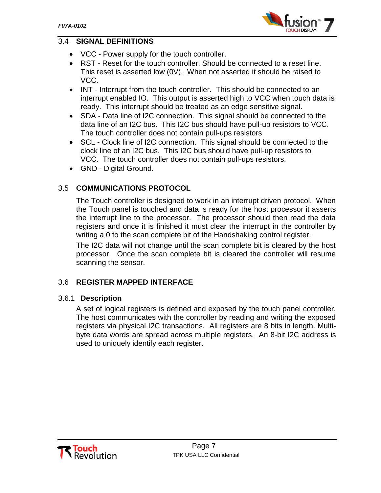

## <span id="page-10-0"></span>3.4 **SIGNAL DEFINITIONS**

- VCC Power supply for the touch controller.
- RST Reset for the touch controller. Should be connected to a reset line. This reset is asserted low (0V). When not asserted it should be raised to VCC.
- INT Interrupt from the touch controller. This should be connected to an interrupt enabled IO. This output is asserted high to VCC when touch data is ready. This interrupt should be treated as an edge sensitive signal.
- SDA Data line of I2C connection. This signal should be connected to the data line of an I2C bus. This I2C bus should have pull-up resistors to VCC. The touch controller does not contain pull-ups resistors
- SCL Clock line of I2C connection. This signal should be connected to the clock line of an I2C bus. This I2C bus should have pull-up resistors to VCC. The touch controller does not contain pull-ups resistors.
- GND Digital Ground.

## <span id="page-10-1"></span>3.5 **COMMUNICATIONS PROTOCOL**

The Touch controller is designed to work in an interrupt driven protocol. When the Touch panel is touched and data is ready for the host processor it asserts the interrupt line to the processor. The processor should then read the data registers and once it is finished it must clear the interrupt in the controller by writing a 0 to the scan complete bit of the Handshaking control register.

The I2C data will not change until the scan complete bit is cleared by the host processor. Once the scan complete bit is cleared the controller will resume scanning the sensor.

## <span id="page-10-2"></span>3.6 **REGISTER MAPPED INTERFACE**

#### <span id="page-10-3"></span>3.6.1 **Description**

A set of logical registers is defined and exposed by the touch panel controller. The host communicates with the controller by reading and writing the exposed registers via physical I2C transactions. All registers are 8 bits in length. Multibyte data words are spread across multiple registers. An 8-bit I2C address is used to uniquely identify each register.

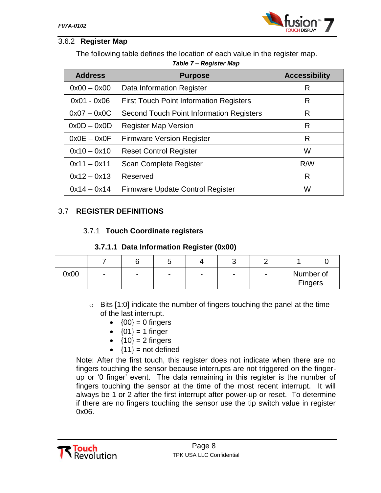

## <span id="page-11-0"></span>3.6.2 **Register Map**

The following table defines the location of each value in the register map.

| <b>Address</b> | <b>Purpose</b>                                  | <b>Accessibility</b> |
|----------------|-------------------------------------------------|----------------------|
| $0x00 - 0x00$  | Data Information Register                       | R                    |
| $0x01 - 0x06$  | <b>First Touch Point Information Registers</b>  | R                    |
| $0x07 - 0x0C$  | <b>Second Touch Point Information Registers</b> | R                    |
| $0x0D - 0x0D$  | <b>Register Map Version</b>                     | R                    |
| $0x0E - 0x0F$  | <b>Firmware Version Register</b>                | R                    |
| $0x10 - 0x10$  | <b>Reset Control Register</b>                   | W                    |
| $0x11 - 0x11$  | Scan Complete Register                          | R/W                  |
| $0x12 - 0x13$  | Reserved                                        | R                    |
| $0x14 - 0x14$  | Firmware Update Control Register                | W                    |

## *Table 7 – Register Map*

## <span id="page-11-2"></span><span id="page-11-1"></span>3.7 **REGISTER DEFINITIONS**

## 3.7.1 **Touch Coordinate registers**

#### **3.7.1.1 Data Information Register (0x00)**

| 0x00 | $\overline{\phantom{0}}$ | - | $\overline{\phantom{0}}$ | $\overline{\phantom{a}}$ | $\overline{\phantom{0}}$ | Number of<br>Fingers |  |
|------|--------------------------|---|--------------------------|--------------------------|--------------------------|----------------------|--|

- o Bits [1:0] indicate the number of fingers touching the panel at the time of the last interrupt.
	- $\bullet$  {00} = 0 fingers
	- ${01} = 1$  finger
	- ${10} = 2$  fingers
	- $\bullet$  {11} = not defined

Note: After the first touch, this register does not indicate when there are no fingers touching the sensor because interrupts are not triggered on the fingerup or "0 finger" event. The data remaining in this register is the number of fingers touching the sensor at the time of the most recent interrupt. It will always be 1 or 2 after the first interrupt after power-up or reset. To determine if there are no fingers touching the sensor use the tip switch value in register 0x06.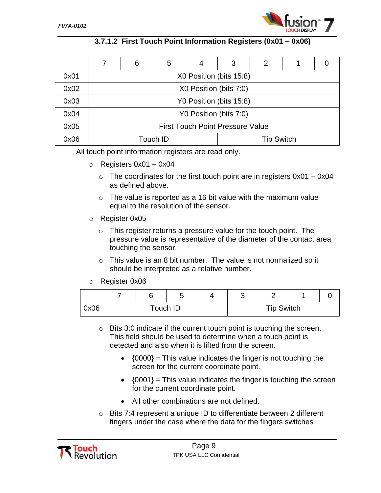

## **3.7.1.2 First Touch Point Information Registers (0x01 – 0x06)**

|      |                                         | 6                       | 5 | 4                      | 3                       | 2 |  |  |
|------|-----------------------------------------|-------------------------|---|------------------------|-------------------------|---|--|--|
| 0x01 |                                         |                         |   |                        | X0 Position (bits 15:8) |   |  |  |
| 0x02 |                                         |                         |   | X0 Position (bits 7:0) |                         |   |  |  |
| 0x03 |                                         | Y0 Position (bits 15:8) |   |                        |                         |   |  |  |
| 0x04 |                                         |                         |   |                        | Y0 Position (bits 7:0)  |   |  |  |
| 0x05 | <b>First Touch Point Pressure Value</b> |                         |   |                        |                         |   |  |  |
| 0x06 | <b>Tip Switch</b><br>Touch ID           |                         |   |                        |                         |   |  |  |

All touch point information registers are read only.

- $\circ$  Registers 0x01 0x04
	- $\circ$  The coordinates for the first touch point are in registers 0x01 0x04 as defined above.
	- $\circ$  The value is reported as a 16 bit value with the maximum value equal to the resolution of the sensor.
- o Register 0x05
	- $\circ$  This register returns a pressure value for the touch point. The pressure value is representative of the diameter of the contact area touching the sensor.
	- $\circ$  This value is an 8 bit number. The value is not normalized so it should be interpreted as a relative number.
- o Register 0x06

|      |  |          | ╭ |                   |  |
|------|--|----------|---|-------------------|--|
| 0x06 |  | Touch ID |   | <b>Tip Switch</b> |  |

- o Bits 3:0 indicate if the current touch point is touching the screen. This field should be used to determine when a touch point is detected and also when it is lifted from the screen.
	- $\bullet$  {0000} = This value indicates the finger is not touching the screen for the current coordinate point.
	- $\bullet$  {0001} = This value indicates the finger is touching the screen for the current coordinate point.
	- All other combinations are not defined.
- $\circ$  Bits 7:4 represent a unique ID to differentiate between 2 different fingers under the case where the data for the fingers switches

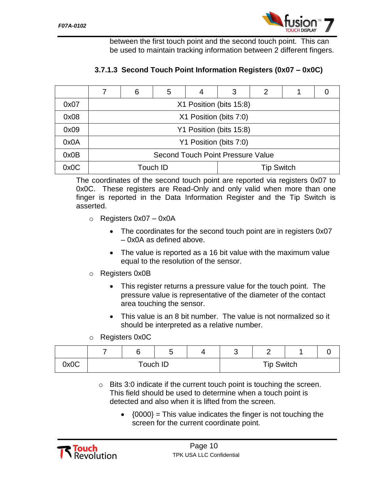between the first touch point and the second touch point. This can be used to maintain tracking information between 2 different fingers.

## **3.7.1.3 Second Touch Point Information Registers (0x07 – 0x0C)**

|      |                                   | 6                       | 5 | 4                       | 3 | 2 |  |  |
|------|-----------------------------------|-------------------------|---|-------------------------|---|---|--|--|
| 0x07 |                                   |                         |   | X1 Position (bits 15:8) |   |   |  |  |
| 0x08 |                                   |                         |   | X1 Position (bits 7:0)  |   |   |  |  |
| 0x09 |                                   | Y1 Position (bits 15:8) |   |                         |   |   |  |  |
| 0x0A |                                   |                         |   | Y1 Position (bits 7:0)  |   |   |  |  |
| 0x0B | Second Touch Point Pressure Value |                         |   |                         |   |   |  |  |
| 0x0C | Touch ID<br><b>Tip Switch</b>     |                         |   |                         |   |   |  |  |

The coordinates of the second touch point are reported via registers 0x07 to 0x0C. These registers are Read-Only and only valid when more than one finger is reported in the Data Information Register and the Tip Switch is asserted.

- $\circ$  Registers 0x07 0x0A
	- The coordinates for the second touch point are in registers 0x07 – 0x0A as defined above.
	- The value is reported as a 16 bit value with the maximum value equal to the resolution of the sensor.
- o Registers 0x0B
	- This register returns a pressure value for the touch point. The pressure value is representative of the diameter of the contact area touching the sensor.
	- This value is an 8 bit number. The value is not normalized so it should be interpreted as a relative number.
- o Registers 0x0C

|      |          | -<br>ັ | $\overline{\phantom{a}}$ |                   |  |
|------|----------|--------|--------------------------|-------------------|--|
| 0x0C | Touch ID |        |                          | <b>Tip Switch</b> |  |

- $\circ$  Bits 3:0 indicate if the current touch point is touching the screen. This field should be used to determine when a touch point is detected and also when it is lifted from the screen.
	- $\bullet$  {0000} = This value indicates the finger is not touching the screen for the current coordinate point.

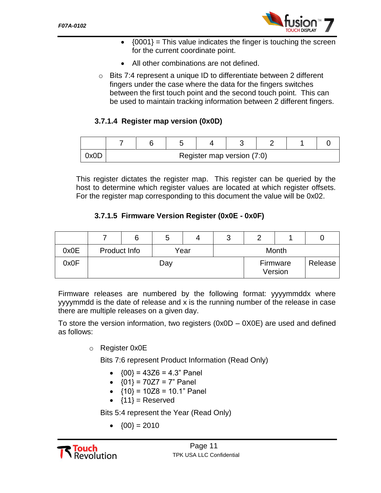

- $\bullet$  {0001} = This value indicates the finger is touching the screen for the current coordinate point.
- All other combinations are not defined.
- o Bits 7:4 represent a unique ID to differentiate between 2 different fingers under the case where the data for the fingers switches between the first touch point and the second touch point. This can be used to maintain tracking information between 2 different fingers.

#### **3.7.1.4 Register map version (0x0D)**

| 0x0D |  | Register map version (7:0) |  |  |
|------|--|----------------------------|--|--|

This register dictates the register map. This register can be queried by the host to determine which register values are located at which register offsets. For the register map corresponding to this document the value will be 0x02.

#### **3.7.1.5 Firmware Version Register (0x0E - 0x0F)**

|      |              |     | O |      | ື |       |                     |         |  |
|------|--------------|-----|---|------|---|-------|---------------------|---------|--|
| 0x0E | Product Info |     |   | Year |   | Month |                     |         |  |
| 0x0F |              | Day |   |      |   |       | Firmware<br>Version | Release |  |

Firmware releases are numbered by the following format: yyyymmddx where yyyymmdd is the date of release and x is the running number of the release in case there are multiple releases on a given day.

To store the version information, two registers  $(0x0D - 0X0E)$  are used and defined as follows:

o Register 0x0E

Bits 7:6 represent Product Information (Read Only)

- $\bullet$  {00} = 43Z6 = 4.3" Panel
- $\bullet$  {01} = 70Z7 = 7" Panel
- $\bullet$  {10} = 10Z8 = 10.1" Panel
- $\bullet$  {11} = Reserved

Bits 5:4 represent the Year (Read Only)

 $\bullet$   $\{00\} = 2010$ 

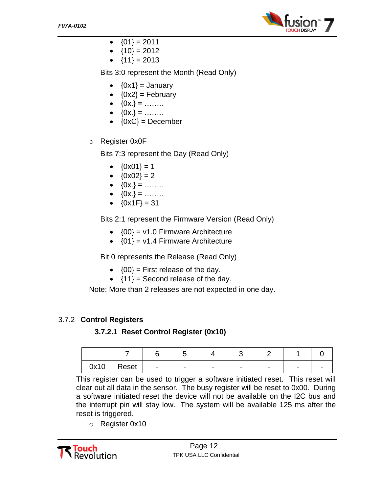

- $\bullet$  {01} = 2011
- ${10} = 2012$
- ${11} = 2013$

Bits 3:0 represent the Month (Read Only)

- $\bullet$   $\{0x1\}$  = January
- $\bullet$  {0x2} = February
- $\bullet$  {0x.} = .......
- $\bullet$   $\{0x.\} =$  ……..
- $\bullet$  {0xC} = December
- o Register 0x0F

Bits 7:3 represent the Day (Read Only)

- ${0x01} = 1$
- ${0x02} = 2$
- $\bullet$  {0x.} = .......
- $\bullet$  {0x.} = .......
- ${0x1F} = 31$

Bits 2:1 represent the Firmware Version (Read Only)

- $\bullet$  {00} = v1.0 Firmware Architecture
- $\bullet$  {01} = v1.4 Firmware Architecture

Bit 0 represents the Release (Read Only)

- $\bullet$  {00} = First release of the day.
- $\bullet$  {11} = Second release of the day.

Note: More than 2 releases are not expected in one day.

## <span id="page-15-0"></span>3.7.2 **Control Registers**

**3.7.2.1 Reset Control Register (0x10)**

| 0x10 | Reset, | $\overline{\phantom{a}}$ | $\overline{\phantom{a}}$ | $\overline{\phantom{0}}$ | $\overline{\phantom{0}}$ |  |
|------|--------|--------------------------|--------------------------|--------------------------|--------------------------|--|

This register can be used to trigger a software initiated reset. This reset will clear out all data in the sensor. The busy register will be reset to 0x00. During a software initiated reset the device will not be available on the I2C bus and the interrupt pin will stay low. The system will be available 125 ms after the reset is triggered.

o Register 0x10

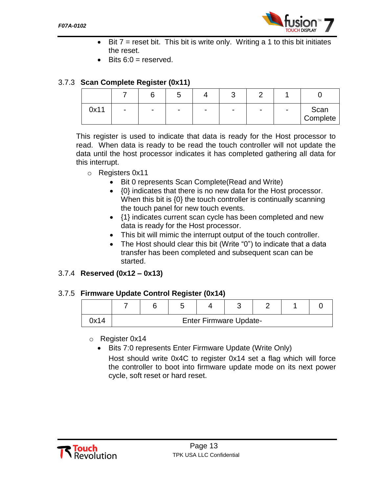

- $\bullet$  Bit  $7$  = reset bit. This bit is write only. Writing a 1 to this bit initiates the reset.
- Bits  $6:0 =$  reserved.

#### <span id="page-16-0"></span>3.7.3 **Scan Complete Register (0x11)**

|      |                          |                          | ັ                        |   | ີ              |  |                  |
|------|--------------------------|--------------------------|--------------------------|---|----------------|--|------------------|
| 0x11 | $\overline{\phantom{a}}$ | $\overline{\phantom{0}}$ | $\overline{\phantom{a}}$ | - | $\blacksquare$ |  | Scan<br>Complete |

This register is used to indicate that data is ready for the Host processor to read. When data is ready to be read the touch controller will not update the data until the host processor indicates it has completed gathering all data for this interrupt.

- o Registers 0x11
	- Bit 0 represents Scan Complete(Read and Write)
	- {0} indicates that there is no new data for the Host processor. When this bit is {0} the touch controller is continually scanning the touch panel for new touch events.
	- {1} indicates current scan cycle has been completed and new data is ready for the Host processor.
	- This bit will mimic the interrupt output of the touch controller.
	- The Host should clear this bit (Write "0") to indicate that a data transfer has been completed and subsequent scan can be started.

#### <span id="page-16-1"></span>3.7.4 **Reserved (0x12 – 0x13)**

#### <span id="page-16-2"></span>3.7.5 **Firmware Update Control Register (0x14)**

| )x14 | <b>Enter Firmware Update-</b> |  |  |  |  |  |  |
|------|-------------------------------|--|--|--|--|--|--|

o Register 0x14

• Bits 7:0 represents Enter Firmware Update (Write Only)

Host should write 0x4C to register 0x14 set a flag which will force the controller to boot into firmware update mode on its next power cycle, soft reset or hard reset.

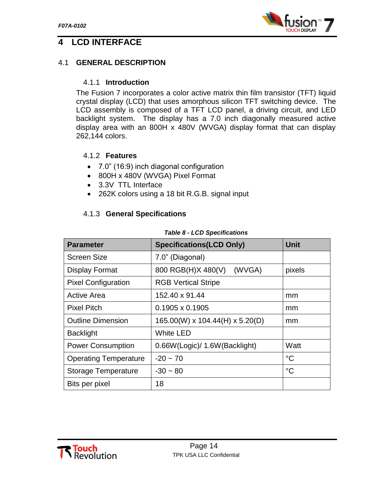

## <span id="page-17-0"></span>**4 LCD INTERFACE**

#### <span id="page-17-2"></span><span id="page-17-1"></span>4.1 **GENERAL DESCRIPTION**

#### 4.1.1 **Introduction**

The Fusion 7 incorporates a color active matrix thin film transistor (TFT) liquid crystal display (LCD) that uses amorphous silicon TFT switching device. The LCD assembly is composed of a TFT LCD panel, a driving circuit, and LED backlight system. The display has a 7.0 inch diagonally measured active display area with an 800H x 480V (WVGA) display format that can display 262,144 colors.

#### <span id="page-17-3"></span>4.1.2 **Features**

- 7.0" (16:9) inch diagonal configuration
- 800H x 480V (WVGA) Pixel Format
- 3.3V TTL Interface
- 262K colors using a 18 bit R.G.B. signal input

#### <span id="page-17-4"></span>4.1.3 **General Specifications**

| <b>Parameter</b>             | <b>Specifications(LCD Only)</b> | <b>Unit</b> |
|------------------------------|---------------------------------|-------------|
| <b>Screen Size</b>           | 7.0" (Diagonal)                 |             |
| <b>Display Format</b>        | (WVGA)<br>800 RGB(H)X 480(V)    | pixels      |
| <b>Pixel Configuration</b>   | <b>RGB Vertical Stripe</b>      |             |
| <b>Active Area</b>           | 152.40 x 91.44                  | mm          |
| <b>Pixel Pitch</b>           | 0.1905 x 0.1905                 | mm          |
| <b>Outline Dimension</b>     | 165.00(W) x 104.44(H) x 5.20(D) | mm          |
| <b>Backlight</b>             | <b>White LED</b>                |             |
| <b>Power Consumption</b>     | 0.66W(Logic)/ 1.6W(Backlight)   | Watt        |
| <b>Operating Temperature</b> | $-20 - 70$                      | $^{\circ}C$ |
| <b>Storage Temperature</b>   | $-30 - 80$                      | $^{\circ}C$ |
| Bits per pixel               | 18                              |             |

#### *Table 8 - LCD Specifications*

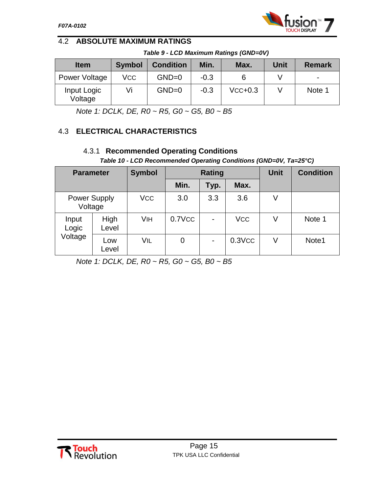## <span id="page-18-0"></span>4.2 **ABSOLUTE MAXIMUM RATINGS**

*Table 9 - LCD Maximum Ratings (GND=0V)*

| <b>Item</b>            | <b>Symbol</b> | <b>Condition</b> | Min.   | Max.      | Unit | <b>Remark</b> |
|------------------------|---------------|------------------|--------|-----------|------|---------------|
| Power Voltage          | VCC           | $GND=0$          | $-0.3$ |           |      |               |
| Input Logic<br>Voltage | Vi            | $GND=0$          | $-0.3$ | $VCC+0.3$ |      | Note 1        |

*Note 1: DCLK, DE, R0 ~ R5, G0 ~ G5, B0 ~ B5*

## <span id="page-18-2"></span><span id="page-18-1"></span>4.3 **ELECTRICAL CHARACTERISTICS**

## 4.3.1 **Recommended Operating Conditions**

*Table 10 - LCD Recommended Operating Conditions (GND=0V, Ta=25°C)*

| <b>Parameter</b>               |               | <b>Symbol</b> |        | <b>Rating</b>            | <b>Unit</b> | <b>Condition</b> |        |
|--------------------------------|---------------|---------------|--------|--------------------------|-------------|------------------|--------|
|                                |               |               | Min.   | Typ.                     | Max.        |                  |        |
| <b>Power Supply</b><br>Voltage |               | <b>VCC</b>    | 3.0    | 3.3                      | 3.6         | V                |        |
| Input<br>Logic                 | High<br>Level | VIH           | 0.7VCC | $\blacksquare$           | <b>VCC</b>  | V                | Note 1 |
| Voltage                        | Low<br>Level  | VIL           | 0      | $\overline{\phantom{0}}$ | $0.3$ VCC   | V                | Note1  |

*Note 1: DCLK, DE, R0 ~ R5, G0 ~ G5, B0 ~ B5*

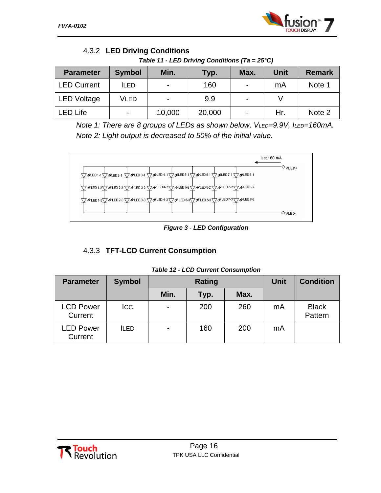

## <span id="page-19-0"></span>4.3.2 **LED Driving Conditions**

*Table 11 - LED Driving Conditions (Ta = 25°C)*

| <b>Parameter</b>   | <b>Symbol</b> | Min.   | Typ.   | Max.                     | <b>Unit</b> | <b>Remark</b> |
|--------------------|---------------|--------|--------|--------------------------|-------------|---------------|
| <b>LED Current</b> | <b>ILED</b>   |        | 160    | -                        | mA          | Note 1        |
| <b>LED Voltage</b> | VLED          |        | 9.9    | $\overline{\phantom{0}}$ |             |               |
| <b>.ED Life</b>    |               | 10,000 | 20,000 | -                        | Hr.         | Note 2        |

*Note 1: There are 8 groups of LEDs as shown below, VLED=9.9V, ILED=160mA. Note 2: Light output is decreased to 50% of the initial value.*



*Figure 3 - LED Configuration*

## <span id="page-19-1"></span>4.3.3 **TFT-LCD Current Consumption**

| <b>Parameter</b>            | <b>Symbol</b> | Rating |      |      | <b>Unit</b> | <b>Condition</b>        |
|-----------------------------|---------------|--------|------|------|-------------|-------------------------|
|                             |               | Min.   | Typ. | Max. |             |                         |
| <b>LCD Power</b><br>Current | <b>ICC</b>    | Ξ.     | 200  | 260  | mA          | <b>Black</b><br>Pattern |
| <b>LED Power</b><br>Current | <b>ILED</b>   |        | 160  | 200  | mA          |                         |

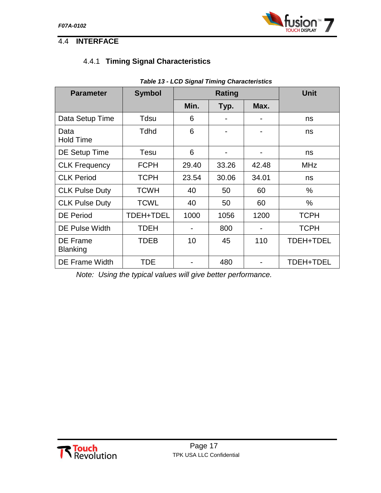

## <span id="page-20-1"></span><span id="page-20-0"></span>4.4 **INTERFACE**

## 4.4.1 **Timing Signal Characteristics**

| <b>Parameter</b>                   | <b>Symbol</b> | Rating |       |       | <b>Unit</b> |
|------------------------------------|---------------|--------|-------|-------|-------------|
|                                    |               | Min.   | Typ.  | Max.  |             |
| Data Setup Time                    | Tdsu          | 6      |       |       | ns          |
| Data<br><b>Hold Time</b>           | Tdhd          | 6      |       |       | ns          |
| DE Setup Time                      | Tesu          | 6      |       |       | ns          |
| <b>CLK Frequency</b>               | <b>FCPH</b>   | 29.40  | 33.26 | 42.48 | <b>MHz</b>  |
| <b>CLK Period</b>                  | <b>TCPH</b>   | 23.54  | 30.06 | 34.01 | ns          |
| <b>CLK Pulse Duty</b>              | <b>TCWH</b>   | 40     | 50    | 60    | $\%$        |
| <b>CLK Pulse Duty</b>              | <b>TCWL</b>   | 40     | 50    | 60    | $\%$        |
| <b>DE Period</b>                   | TDEH+TDEL     | 1000   | 1056  | 1200  | <b>TCPH</b> |
| <b>DE Pulse Width</b>              | <b>TDEH</b>   |        | 800   |       | <b>TCPH</b> |
| <b>DE Frame</b><br><b>Blanking</b> | TDEB          | 10     | 45    | 110   | TDEH+TDEL   |
| <b>DE Frame Width</b>              | TDE           |        | 480   |       | TDEH+TDEL   |

#### *Table 13 - LCD Signal Timing Characteristics*

*Note: Using the typical values will give better performance.*

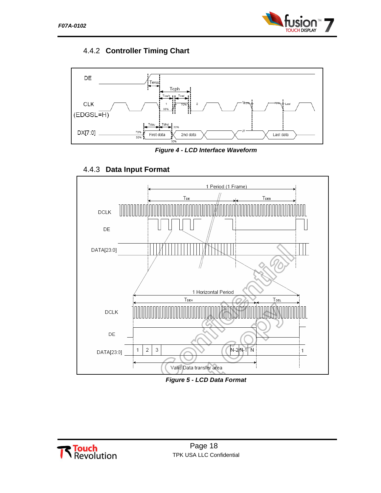

## <span id="page-21-0"></span>4.4.2 **Controller Timing Chart**



*Figure 4 - LCD Interface Waveform*

<span id="page-21-1"></span>

## 4.4.3 **Data Input Format**

*Figure 5 - LCD Data Format*

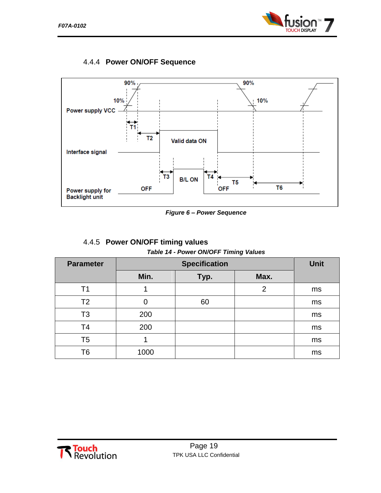

#### <span id="page-22-0"></span>4.4.4 **Power ON/OFF Sequence**



*Figure 6 – Power Sequence*

| 4.4.5 Power ON/OFF timing values      |
|---------------------------------------|
| Table 14 - Power ON/OFF Timing Values |

<span id="page-22-1"></span>

| <b>Parameter</b> |      | <b>Unit</b> |      |    |
|------------------|------|-------------|------|----|
|                  | Min. | Typ.        | Max. |    |
| Τ1               |      |             | 2    | ms |
| T <sub>2</sub>   |      | 60          |      | ms |
| T3               | 200  |             |      | ms |
| T <sub>4</sub>   | 200  |             |      | ms |
| T <sub>5</sub>   |      |             |      | ms |
| Τ6               | 1000 |             |      | ms |

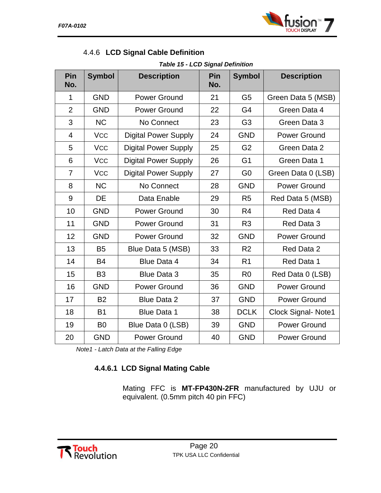

<span id="page-23-0"></span>

|  |  | 4.4.6 LCD Signal Cable Definition |
|--|--|-----------------------------------|
|  |  |                                   |

*Table 15 - LCD Signal Definition*

| Pin<br>No.     | <b>Symbol</b>  | <b>Description</b>          | Pin<br>No. | <b>Symbol</b>  | <b>Description</b>         |
|----------------|----------------|-----------------------------|------------|----------------|----------------------------|
| 1              | <b>GND</b>     | <b>Power Ground</b>         | 21         | G <sub>5</sub> | Green Data 5 (MSB)         |
| $\overline{2}$ | <b>GND</b>     | <b>Power Ground</b>         | 22         | G4             | Green Data 4               |
| 3              | <b>NC</b>      | No Connect                  | 23         | G <sub>3</sub> | Green Data 3               |
| $\overline{4}$ | <b>VCC</b>     | <b>Digital Power Supply</b> | 24         | <b>GND</b>     | <b>Power Ground</b>        |
| 5              | <b>VCC</b>     | <b>Digital Power Supply</b> | 25         | G <sub>2</sub> | Green Data 2               |
| 6              | <b>VCC</b>     | <b>Digital Power Supply</b> | 26         | G <sub>1</sub> | Green Data 1               |
| $\overline{7}$ | <b>VCC</b>     | <b>Digital Power Supply</b> | 27         | G <sub>0</sub> | Green Data 0 (LSB)         |
| 8              | <b>NC</b>      | No Connect                  | 28         | <b>GND</b>     | <b>Power Ground</b>        |
| 9              | <b>DE</b>      | Data Enable                 | 29         | R <sub>5</sub> | Red Data 5 (MSB)           |
| 10             | <b>GND</b>     | <b>Power Ground</b>         | 30         | R <sub>4</sub> | Red Data 4                 |
| 11             | <b>GND</b>     | <b>Power Ground</b>         | 31         | R <sub>3</sub> | Red Data 3                 |
| 12             | <b>GND</b>     | <b>Power Ground</b>         | 32         | <b>GND</b>     | <b>Power Ground</b>        |
| 13             | B <sub>5</sub> | Blue Data 5 (MSB)           | 33         | R <sub>2</sub> | Red Data 2                 |
| 14             | <b>B4</b>      | <b>Blue Data 4</b>          | 34         | R <sub>1</sub> | Red Data 1                 |
| 15             | B <sub>3</sub> | <b>Blue Data 3</b>          | 35         | R <sub>0</sub> | Red Data 0 (LSB)           |
| 16             | <b>GND</b>     | <b>Power Ground</b>         | 36         | <b>GND</b>     | <b>Power Ground</b>        |
| 17             | <b>B2</b>      | <b>Blue Data 2</b>          | 37         | <b>GND</b>     | <b>Power Ground</b>        |
| 18             | <b>B1</b>      | <b>Blue Data 1</b>          | 38         | <b>DCLK</b>    | <b>Clock Signal- Note1</b> |
| 19             | B <sub>0</sub> | Blue Data 0 (LSB)           | 39         | <b>GND</b>     | <b>Power Ground</b>        |
| 20             | <b>GND</b>     | <b>Power Ground</b>         | 40         | <b>GND</b>     | <b>Power Ground</b>        |

*Note1 - Latch Data at the Falling Edge*

## **4.4.6.1 LCD Signal Mating Cable**

Mating FFC is **MT-FP430N-2FR** manufactured by UJU or equivalent. (0.5mm pitch 40 pin FFC)

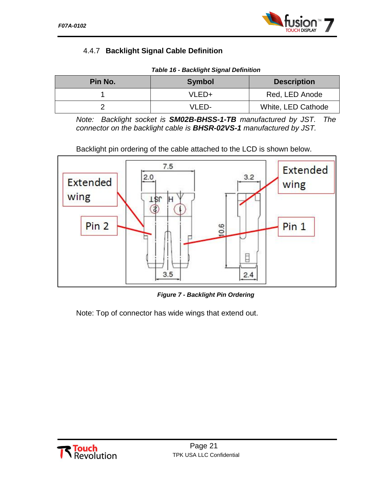

## <span id="page-24-0"></span>4.4.7 **Backlight Signal Cable Definition**

| Pin No. | <b>Symbol</b> | <b>Description</b> |
|---------|---------------|--------------------|
|         | VLED+         | Red, LED Anode     |
|         | VLED-         | White, LED Cathode |

*Note: Backlight socket is SM02B-BHSS-1-TB manufactured by JST. The connector on the backlight cable is BHSR-02VS-1 manufactured by JST.*

Backlight pin ordering of the cable attached to the LCD is shown below.



*Figure 7 - Backlight Pin Ordering*

Note: Top of connector has wide wings that extend out.

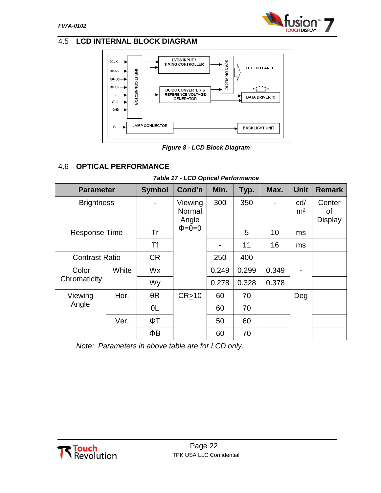

## <span id="page-25-0"></span>4.5 **LCD INTERNAL BLOCK DIAGRAM**



*Figure 8 - LCD Block Diagram*

## <span id="page-25-1"></span>4.6 **OPTICAL PERFORMANCE**

| <b>Parameter</b>      |       | <b>Symbol</b> | Cond'n                                            | Min.  | Typ.  | Max.           | <b>Unit</b>           | <b>Remark</b>                  |
|-----------------------|-------|---------------|---------------------------------------------------|-------|-------|----------------|-----------------------|--------------------------------|
| <b>Brightness</b>     |       |               | Viewing<br>Normal<br>Angle<br>$\Phi = \theta = 0$ | 300   | 350   | $\blacksquare$ | cd/<br>m <sup>2</sup> | Center<br>οf<br><b>Display</b> |
| <b>Response Time</b>  |       | Tr            |                                                   |       | 5     | 10             | ms                    |                                |
|                       |       | <b>Tf</b>     |                                                   |       | 11    | 16             | ms                    |                                |
| <b>Contrast Ratio</b> |       | <b>CR</b>     |                                                   | 250   | 400   |                |                       |                                |
| Color<br>Chromaticity | White | Wx            |                                                   | 0.249 | 0.299 | 0.349          |                       |                                |
|                       |       | Wy            |                                                   | 0.278 | 0.328 | 0.378          |                       |                                |
| Viewing<br>Angle      | Hor.  | $\theta R$    | CR > 10                                           | 60    | 70    |                | Deg                   |                                |
|                       |       | $\theta L$    |                                                   | 60    | 70    |                |                       |                                |
|                       | Ver.  | ΦT            |                                                   | 50    | 60    |                |                       |                                |
|                       |       | ΦB            |                                                   | 60    | 70    |                |                       |                                |

#### *Table 17 - LCD Optical Performance*

*Note: Parameters in above table are for LCD only.*

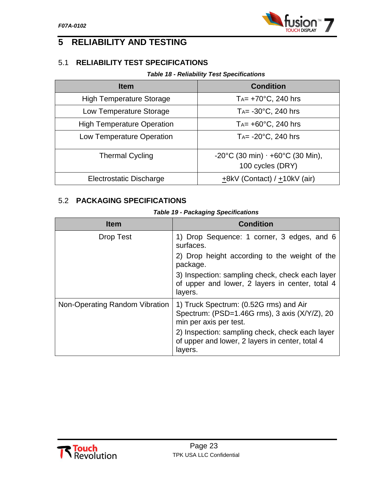

## <span id="page-26-0"></span>**5 RELIABILITY AND TESTING**

## <span id="page-26-1"></span>5.1 **RELIABILITY TEST SPECIFICATIONS**

#### *Table 18 - Reliability Test Specifications*

| <b>Item</b>                       | <b>Condition</b>                          |
|-----------------------------------|-------------------------------------------|
| <b>High Temperature Storage</b>   | T <sub>A</sub> = $+70^{\circ}$ C, 240 hrs |
| Low Temperature Storage           | $T_A$ = -30 $\degree$ C, 240 hrs          |
| <b>High Temperature Operation</b> | $Ta = +60^{\circ}C$ , 240 hrs             |
| Low Temperature Operation         | T <sub>A</sub> = $-20^{\circ}$ C, 240 hrs |
| <b>Thermal Cycling</b>            | -20°C (30 min) $\cdot$ +60°C (30 Min),    |
|                                   | 100 cycles (DRY)                          |
| <b>Electrostatic Discharge</b>    | $+8kV$ (Contact) / $+10kV$ (air)          |

## <span id="page-26-2"></span>5.2 **PACKAGING SPECIFICATIONS**

| <b>Table 19 - Packaging Specifications</b> |  |
|--------------------------------------------|--|
|--------------------------------------------|--|

| <b>Item</b>                    | <b>Condition</b>                                                                                                  |
|--------------------------------|-------------------------------------------------------------------------------------------------------------------|
| <b>Drop Test</b>               | 1) Drop Sequence: 1 corner, 3 edges, and 6<br>surfaces.                                                           |
|                                | 2) Drop height according to the weight of the<br>package.                                                         |
|                                | 3) Inspection: sampling check, check each layer<br>of upper and lower, 2 layers in center, total 4<br>layers.     |
| Non-Operating Random Vibration | 1) Truck Spectrum: (0.52G rms) and Air<br>Spectrum: (PSD=1.46G rms), 3 axis (X/Y/Z), 20<br>min per axis per test. |
|                                | 2) Inspection: sampling check, check each layer<br>of upper and lower, 2 layers in center, total 4<br>layers.     |

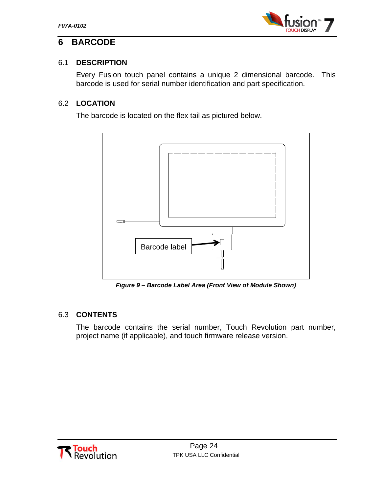

## <span id="page-27-0"></span>**6 BARCODE**

## <span id="page-27-1"></span>6.1 **DESCRIPTION**

Every Fusion touch panel contains a unique 2 dimensional barcode. This barcode is used for serial number identification and part specification.

## <span id="page-27-2"></span>6.2 **LOCATION**

The barcode is located on the flex tail as pictured below.



*Figure 9 – Barcode Label Area (Front View of Module Shown)*

## <span id="page-27-3"></span>6.3 **CONTENTS**

The barcode contains the serial number, Touch Revolution part number, project name (if applicable), and touch firmware release version.

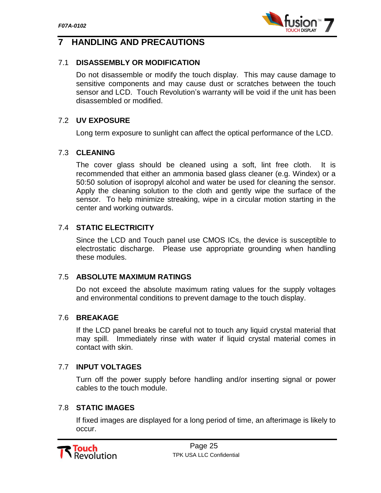

## <span id="page-28-0"></span>**7 HANDLING AND PRECAUTIONS**

#### <span id="page-28-1"></span>7.1 **DISASSEMBLY OR MODIFICATION**

Do not disassemble or modify the touch display. This may cause damage to sensitive components and may cause dust or scratches between the touch sensor and LCD. Touch Revolution's warranty will be void if the unit has been disassembled or modified.

#### <span id="page-28-2"></span>7.2 **UV EXPOSURE**

Long term exposure to sunlight can affect the optical performance of the LCD.

#### <span id="page-28-3"></span>7.3 **CLEANING**

The cover glass should be cleaned using a soft, lint free cloth. It is recommended that either an ammonia based glass cleaner (e.g. Windex) or a 50:50 solution of isopropyl alcohol and water be used for cleaning the sensor. Apply the cleaning solution to the cloth and gently wipe the surface of the sensor. To help minimize streaking, wipe in a circular motion starting in the center and working outwards.

#### <span id="page-28-4"></span>7.4 **STATIC ELECTRICITY**

Since the LCD and Touch panel use CMOS ICs, the device is susceptible to electrostatic discharge. Please use appropriate grounding when handling these modules.

#### <span id="page-28-5"></span>7.5 **ABSOLUTE MAXIMUM RATINGS**

Do not exceed the absolute maximum rating values for the supply voltages and environmental conditions to prevent damage to the touch display.

#### <span id="page-28-6"></span>7.6 **BREAKAGE**

If the LCD panel breaks be careful not to touch any liquid crystal material that may spill. Immediately rinse with water if liquid crystal material comes in contact with skin.

#### <span id="page-28-7"></span>7.7 **INPUT VOLTAGES**

Turn off the power supply before handling and/or inserting signal or power cables to the touch module.

#### <span id="page-28-8"></span>7.8 **STATIC IMAGES**

If fixed images are displayed for a long period of time, an afterimage is likely to occur.

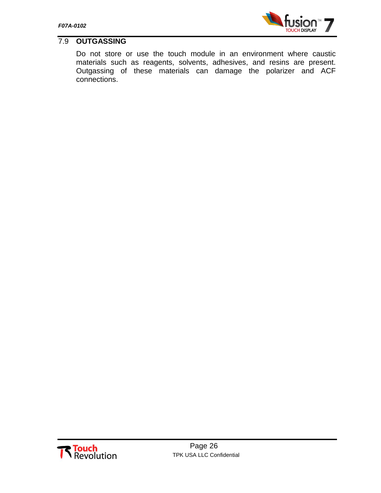

## <span id="page-29-0"></span>7.9 **OUTGASSING**

Do not store or use the touch module in an environment where caustic materials such as reagents, solvents, adhesives, and resins are present. Outgassing of these materials can damage the polarizer and ACF connections.

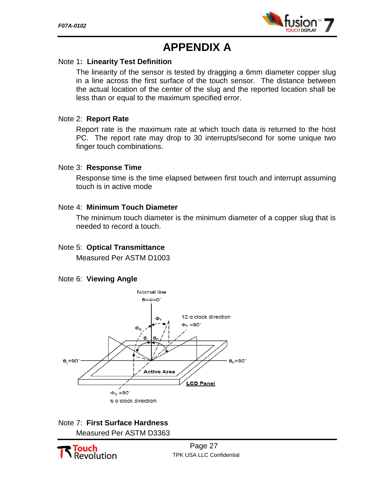

# **APPENDIX A**

#### Note 1**: Linearity Test Definition**

The linearity of the sensor is tested by dragging a 6mm diameter copper slug in a line across the first surface of the touch sensor. The distance between the actual location of the center of the slug and the reported location shall be less than or equal to the maximum specified error.

#### Note 2: **Report Rate**

Report rate is the maximum rate at which touch data is returned to the host PC. The report rate may drop to 30 interrupts/second for some unique two finger touch combinations.

#### Note 3: **Response Time**

Response time is the time elapsed between first touch and interrupt assuming touch is in active mode

#### Note 4: **Minimum Touch Diameter**

The minimum touch diameter is the minimum diameter of a copper slug that is needed to record a touch.

#### Note 5: **Optical Transmittance**

Measured Per ASTM D1003

#### Note 6: **Viewing Angle**



## Note 7: **First Surface Hardness** Measured Per ASTM D3363



Page 27 TPK USA LLC Confidential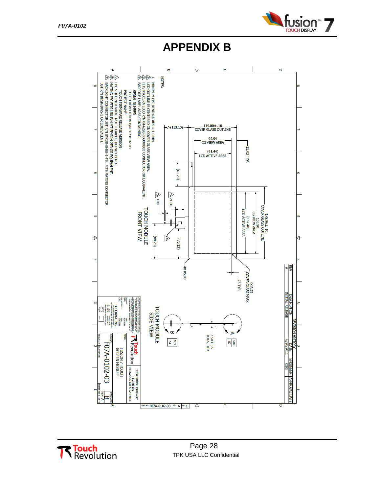

**APPENDIX B**



**Touch**<br>Revolution

Page 28 TPK USA LLC Confidential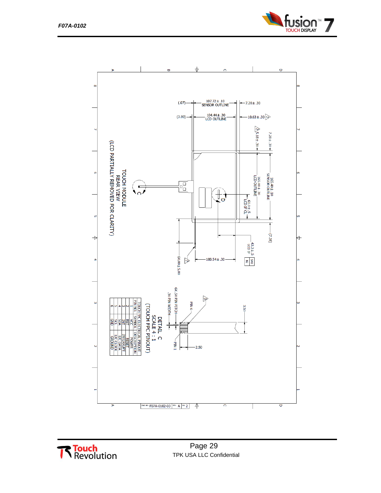



**Touch**<br>Revolution

Page 29 TPK USA LLC Confidential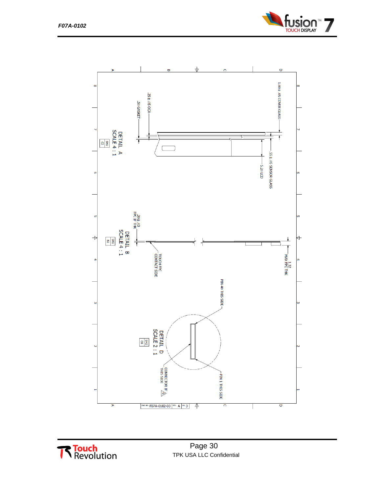





Page 30 TPK USA LLC Confidential